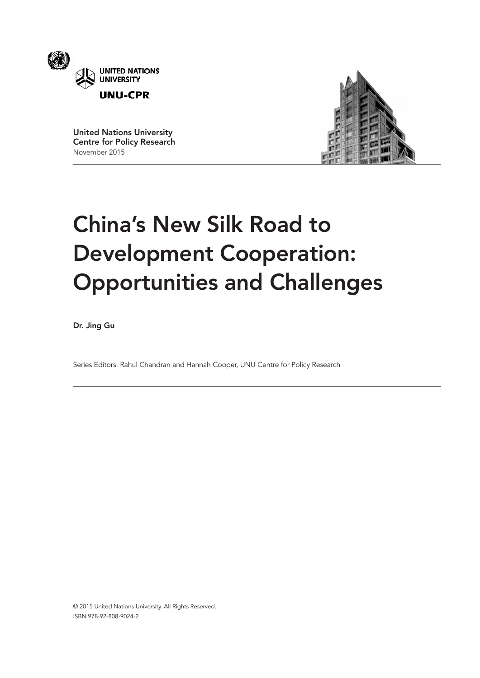

United Nations University Centre for Policy Research November 2015



# China's New Silk Road to Development Cooperation: Opportunities and Challenges

Dr. Jing Gu

Series Editors: Rahul Chandran and Hannah Cooper, UNU Centre for Policy Research

© 2015 United Nations University. All Rights Reserved. ISBN 978-92-808-9024-2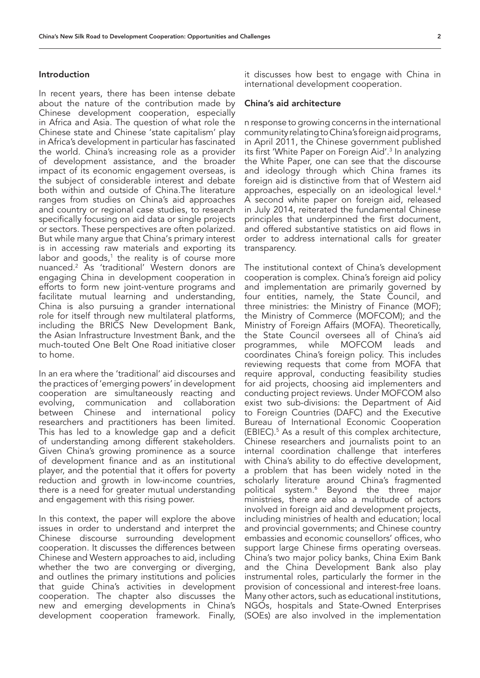#### Introduction

In recent years, there has been intense debate about the nature of the contribution made by Chinese development cooperation, especially in Africa and Asia. The question of what role the Chinese state and Chinese 'state capitalism' play in Africa's development in particular has fascinated the world. China's increasing role as a provider of development assistance, and the broader impact of its economic engagement overseas, is the subject of considerable interest and debate both within and outside of China.The literature ranges from studies on China's aid approaches and country or regional case studies, to research specifically focusing on aid data or single projects or sectors. These perspectives are often polarized. But while many argue that China's primary interest is in accessing raw materials and exporting its labor and goods,<sup>1</sup> the reality is of course more nuanced.2 As 'traditional' Western donors are engaging China in development cooperation in efforts to form new joint-venture programs and facilitate mutual learning and understanding, China is also pursuing a grander international role for itself through new multilateral platforms, including the BRICS New Development Bank, the Asian Infrastructure Investment Bank, and the much-touted One Belt One Road initiative closer to home.

In an era where the 'traditional' aid discourses and the practices of 'emerging powers' in development cooperation are simultaneously reacting and evolving, communication and collaboration between Chinese and international policy researchers and practitioners has been limited. This has led to a knowledge gap and a deficit of understanding among different stakeholders. Given China's growing prominence as a source of development finance and as an institutional player, and the potential that it offers for poverty reduction and growth in low-income countries, there is a need for greater mutual understanding and engagement with this rising power.

In this context, the paper will explore the above issues in order to understand and interpret the Chinese discourse surrounding development cooperation. It discusses the differences between Chinese and Western approaches to aid, including whether the two are converging or diverging, and outlines the primary institutions and policies that guide China's activities in development cooperation. The chapter also discusses the new and emerging developments in China's development cooperation framework. Finally,

it discusses how best to engage with China in international development cooperation.

#### China's aid architecture

n response to growing concerns in the international community relating to China's foreign aid programs, in April 2011, the Chinese government published its first 'White Paper on Foreign Aid'.<sup>3</sup> In analyzing the White Paper, one can see that the discourse and ideology through which China frames its foreign aid is distinctive from that of Western aid approaches, especially on an ideological level.4 A second white paper on foreign aid, released in July 2014, reiterated the fundamental Chinese principles that underpinned the first document, and offered substantive statistics on aid flows in order to address international calls for greater transparency.

The institutional context of China's development cooperation is complex. China's foreign aid policy and implementation are primarily governed by four entities, namely, the State Council, and three ministries: the Ministry of Finance (MOF); the Ministry of Commerce (MOFCOM); and the Ministry of Foreign Affairs (MOFA). Theoretically, the State Council oversees all of China's aid programmes, while MOFCOM leads and coordinates China's foreign policy. This includes reviewing requests that come from MOFA that require approval, conducting feasibility studies for aid projects, choosing aid implementers and conducting project reviews. Under MOFCOM also exist two sub-divisions: the Department of Aid to Foreign Countries (DAFC) and the Executive Bureau of International Economic Cooperation (EBIEC).5 As a result of this complex architecture, Chinese researchers and journalists point to an internal coordination challenge that interferes with China's ability to do effective development, a problem that has been widely noted in the scholarly literature around China's fragmented political system.6 Beyond the three major ministries, there are also a multitude of actors involved in foreign aid and development projects, including ministries of health and education; local and provincial governments; and Chinese country embassies and economic counsellors' offices, who support large Chinese firms operating overseas. China's two major policy banks, China Exim Bank and the China Development Bank also play instrumental roles, particularly the former in the provision of concessional and interest-free loans. Many other actors, such as educational institutions, NGOs, hospitals and State-Owned Enterprises (SOEs) are also involved in the implementation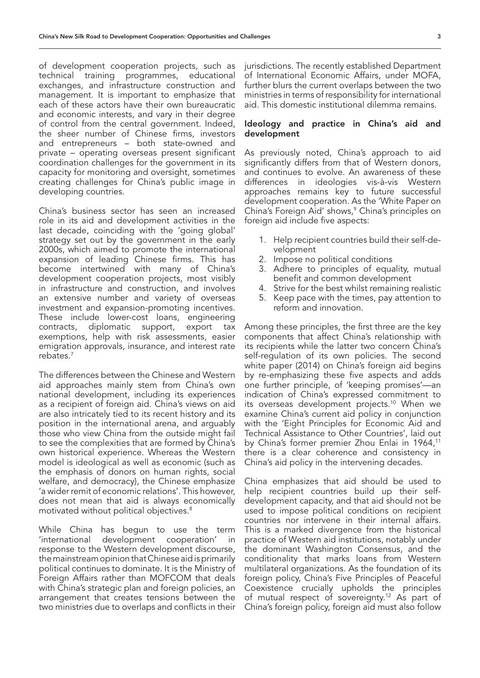of development cooperation projects, such as technical training programmes, educational exchanges, and infrastructure construction and management. It is important to emphasize that each of these actors have their own bureaucratic and economic interests, and vary in their degree of control from the central government. Indeed, the sheer number of Chinese firms, investors and entrepreneurs – both state-owned and private – operating overseas present significant coordination challenges for the government in its capacity for monitoring and oversight, sometimes creating challenges for China's public image in developing countries.

China's business sector has seen an increased role in its aid and development activities in the last decade, coinciding with the 'going global' strategy set out by the government in the early 2000s, which aimed to promote the international expansion of leading Chinese firms. This has become intertwined with many of China's development cooperation projects, most visibly in infrastructure and construction, and involves an extensive number and variety of overseas investment and expansion-promoting incentives. These include lower-cost loans, engineering contracts, diplomatic support, export tax exemptions, help with risk assessments, easier emigration approvals, insurance, and interest rate rebates.7

The differences between the Chinese and Western aid approaches mainly stem from China's own national development, including its experiences as a recipient of foreign aid. China's views on aid are also intricately tied to its recent history and its position in the international arena, and arguably those who view China from the outside might fail to see the complexities that are formed by China's own historical experience. Whereas the Western model is ideological as well as economic (such as the emphasis of donors on human rights, social welfare, and democracy), the Chinese emphasize 'a wider remit of economic relations'. This however, does not mean that aid is always economically motivated without political objectives.8

While China has begun to use the term 'international development cooperation' in response to the Western development discourse, the mainstream opinion that Chinese aid is primarily political continues to dominate. It is the Ministry of Foreign Affairs rather than MOFCOM that deals with China's strategic plan and foreign policies, an arrangement that creates tensions between the two ministries due to overlaps and conflicts in their jurisdictions. The recently established Department of International Economic Affairs, under MOFA, further blurs the current overlaps between the two ministries in terms of responsibility for international aid. This domestic institutional dilemma remains.

#### Ideology and practice in China's aid and development

As previously noted, China's approach to aid significantly differs from that of Western donors, and continues to evolve. An awareness of these differences in ideologies vis-à-vis Western approaches remains key to future successful development cooperation. As the 'White Paper on China's Foreign Aid' shows,<sup>9</sup> China's principles on foreign aid include five aspects:

- 1. Help recipient countries build their self-development
- 2. Impose no political conditions
- 3. Adhere to principles of equality, mutual benefit and common development
- 4. Strive for the best whilst remaining realistic
- 5. Keep pace with the times, pay attention to reform and innovation.

Among these principles, the first three are the key components that affect China's relationship with its recipients while the latter two concern China's self-regulation of its own policies. The second white paper (2014) on China's foreign aid begins by re-emphasizing these five aspects and adds one further principle, of 'keeping promises'—an indication of China's expressed commitment to its overseas development projects.<sup>10</sup> When we examine China's current aid policy in conjunction with the 'Eight Principles for Economic Aid and Technical Assistance to Other Countries', laid out by China's former premier Zhou Enlai in 1964,<sup>11</sup> there is a clear coherence and consistency in China's aid policy in the intervening decades.

China emphasizes that aid should be used to help recipient countries build up their selfdevelopment capacity, and that aid should not be used to impose political conditions on recipient countries nor intervene in their internal affairs. This is a marked divergence from the historical practice of Western aid institutions, notably under the dominant Washington Consensus, and the conditionality that marks loans from Western multilateral organizations. As the foundation of its foreign policy, China's Five Principles of Peaceful Coexistence crucially upholds the principles of mutual respect of sovereignty.<sup>12</sup> As part of China's foreign policy, foreign aid must also follow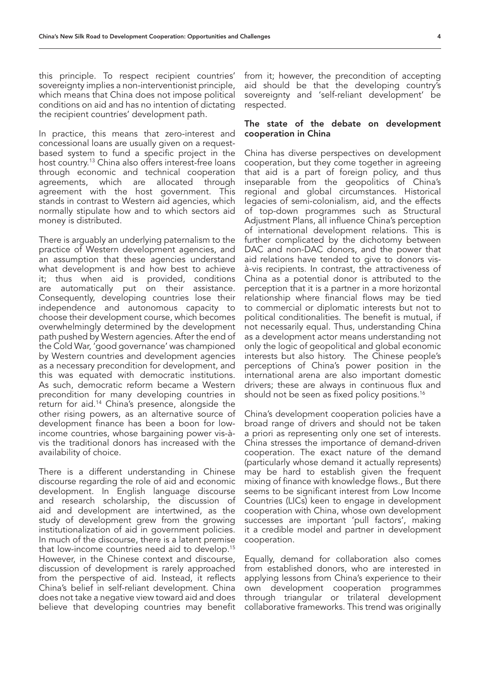this principle. To respect recipient countries' sovereignty implies a non-interventionist principle, which means that China does not impose political conditions on aid and has no intention of dictating the recipient countries' development path.

In practice, this means that zero-interest and concessional loans are usually given on a requestbased system to fund a specific project in the host country.13 China also offers interest-free loans through economic and technical cooperation agreements, which are allocated through agreement with the host government. This stands in contrast to Western aid agencies, which normally stipulate how and to which sectors aid money is distributed.

There is arguably an underlying paternalism to the practice of Western development agencies, and an assumption that these agencies understand what development is and how best to achieve it; thus when aid is provided, conditions are automatically put on their assistance. Consequently, developing countries lose their independence and autonomous capacity to choose their development course, which becomes overwhelmingly determined by the development path pushed by Western agencies. After the end of the Cold War, 'good governance' was championed by Western countries and development agencies as a necessary precondition for development, and this was equated with democratic institutions. As such, democratic reform became a Western precondition for many developing countries in return for aid.14 China's presence, alongside the other rising powers, as an alternative source of development finance has been a boon for lowincome countries, whose bargaining power vis-àvis the traditional donors has increased with the availability of choice.

There is a different understanding in Chinese discourse regarding the role of aid and economic development. In English language discourse and research scholarship, the discussion of aid and development are intertwined, as the study of development grew from the growing institutionalization of aid in government policies. In much of the discourse, there is a latent premise that low-income countries need aid to develop.15 However, in the Chinese context and discourse, discussion of development is rarely approached from the perspective of aid. Instead, it reflects China's belief in self-reliant development. China does not take a negative view toward aid and does believe that developing countries may benefit

from it; however, the precondition of accepting aid should be that the developing country's sovereignty and 'self-reliant development' be respected.

#### The state of the debate on development cooperation in China

China has diverse perspectives on development cooperation, but they come together in agreeing that aid is a part of foreign policy, and thus inseparable from the geopolitics of China's regional and global circumstances. Historical legacies of semi-colonialism, aid, and the effects of top-down programmes such as Structural Adjustment Plans, all influence China's perception of international development relations. This is further complicated by the dichotomy between DAC and non-DAC donors, and the power that aid relations have tended to give to donors visà-vis recipients. In contrast, the attractiveness of China as a potential donor is attributed to the perception that it is a partner in a more horizontal relationship where financial flows may be tied to commercial or diplomatic interests but not to political conditionalities. The benefit is mutual, if not necessarily equal. Thus, understanding China as a development actor means understanding not only the logic of geopolitical and global economic interests but also history. The Chinese people's perceptions of China's power position in the international arena are also important domestic drivers; these are always in continuous flux and should not be seen as fixed policy positions.<sup>16</sup>

China's development cooperation policies have a broad range of drivers and should not be taken a priori as representing only one set of interests. China stresses the importance of demand-driven cooperation. The exact nature of the demand (particularly whose demand it actually represents) may be hard to establish given the frequent mixing of finance with knowledge flows., But there seems to be significant interest from Low Income Countries (LICs) keen to engage in development cooperation with China, whose own development successes are important 'pull factors', making it a credible model and partner in development cooperation.

Equally, demand for collaboration also comes from established donors, who are interested in applying lessons from China's experience to their own development cooperation programmes through triangular or trilateral development collaborative frameworks. This trend was originally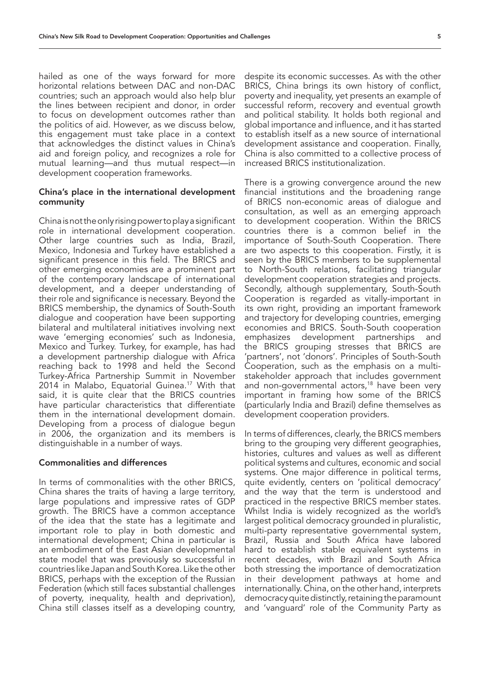hailed as one of the ways forward for more horizontal relations between DAC and non-DAC countries; such an approach would also help blur the lines between recipient and donor, in order to focus on development outcomes rather than the politics of aid. However, as we discuss below, this engagement must take place in a context that acknowledges the distinct values in China's aid and foreign policy, and recognizes a role for mutual learning—and thus mutual respect—in development cooperation frameworks.

#### China's place in the international development community

China is not the only rising power to play a significant role in international development cooperation. Other large countries such as India, Brazil, Mexico, Indonesia and Turkey have established a significant presence in this field. The BRICS and other emerging economies are a prominent part of the contemporary landscape of international development, and a deeper understanding of their role and significance is necessary. Beyond the BRICS membership, the dynamics of South-South dialogue and cooperation have been supporting bilateral and multilateral initiatives involving next wave 'emerging economies' such as Indonesia, Mexico and Turkey. Turkey, for example, has had a development partnership dialogue with Africa reaching back to 1998 and held the Second Turkey-Africa Partnership Summit in November 2014 in Malabo, Equatorial Guinea.<sup>17</sup> With that said, it is quite clear that the BRICS countries have particular characteristics that differentiate them in the international development domain. Developing from a process of dialogue begun in 2006, the organization and its members is distinguishable in a number of ways.

## Commonalities and differences

In terms of commonalities with the other BRICS, China shares the traits of having a large territory, large populations and impressive rates of GDP growth. The BRICS have a common acceptance of the idea that the state has a legitimate and important role to play in both domestic and international development; China in particular is an embodiment of the East Asian developmental state model that was previously so successful in countries like Japan and South Korea. Like the other BRICS, perhaps with the exception of the Russian Federation (which still faces substantial challenges of poverty, inequality, health and deprivation), China still classes itself as a developing country,

despite its economic successes. As with the other BRICS, China brings its own history of conflict, poverty and inequality, yet presents an example of successful reform, recovery and eventual growth and political stability. It holds both regional and global importance and influence, and it has started to establish itself as a new source of international development assistance and cooperation. Finally, China is also committed to a collective process of increased BRICS institutionalization.

There is a growing convergence around the new financial institutions and the broadening range of BRICS non-economic areas of dialogue and consultation, as well as an emerging approach to development cooperation. Within the BRICS countries there is a common belief in the importance of South-South Cooperation. There are two aspects to this cooperation. Firstly, it is seen by the BRICS members to be supplemental to North-South relations, facilitating triangular development cooperation strategies and projects. Secondly, although supplementary, South-South Cooperation is regarded as vitally-important in its own right, providing an important framework and trajectory for developing countries, emerging economies and BRICS. South-South cooperation emphasizes development partnerships and the BRICS grouping stresses that BRICS are 'partners', not 'donors'. Principles of South-South Cooperation, such as the emphasis on a multistakeholder approach that includes government and non-governmental actors,<sup>18</sup> have been very important in framing how some of the BRICS (particularly India and Brazil) define themselves as development cooperation providers.

In terms of differences, clearly, the BRICS members bring to the grouping very different geographies, histories, cultures and values as well as different political systems and cultures, economic and social systems. One major difference in political terms, quite evidently, centers on 'political democracy' and the way that the term is understood and practiced in the respective BRICS member states. Whilst India is widely recognized as the world's largest political democracy grounded in pluralistic, multi-party representative governmental system, Brazil, Russia and South Africa have labored hard to establish stable equivalent systems in recent decades, with Brazil and South Africa both stressing the importance of democratization in their development pathways at home and internationally. China, on the other hand, interprets democracy quite distinctly, retaining the paramount and 'vanguard' role of the Community Party as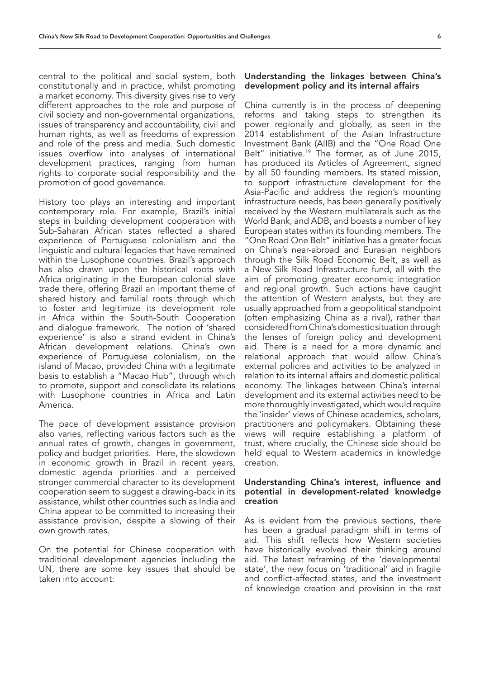central to the political and social system, both constitutionally and in practice, whilst promoting a market economy. This diversity gives rise to very different approaches to the role and purpose of civil society and non-governmental organizations, issues of transparency and accountability, civil and human rights, as well as freedoms of expression and role of the press and media. Such domestic issues overflow into analyses of international development practices, ranging from human rights to corporate social responsibility and the promotion of good governance.

History too plays an interesting and important contemporary role. For example, Brazil's initial steps in building development cooperation with Sub-Saharan African states reflected a shared experience of Portuguese colonialism and the linguistic and cultural legacies that have remained within the Lusophone countries. Brazil's approach has also drawn upon the historical roots with Africa originating in the European colonial slave trade there, offering Brazil an important theme of shared history and familial roots through which to foster and legitimize its development role in Africa within the South-South Cooperation and dialogue framework. The notion of 'shared experience' is also a strand evident in China's African development relations. China's own experience of Portuguese colonialism, on the island of Macao, provided China with a legitimate basis to establish a "Macao Hub", through which to promote, support and consolidate its relations with Lusophone countries in Africa and Latin America.

The pace of development assistance provision also varies, reflecting various factors such as the annual rates of growth, changes in government, policy and budget priorities. Here, the slowdown in economic growth in Brazil in recent years, domestic agenda priorities and a perceived stronger commercial character to its development cooperation seem to suggest a drawing-back in its assistance, whilst other countries such as India and China appear to be committed to increasing their assistance provision, despite a slowing of their own growth rates.

On the potential for Chinese cooperation with traditional development agencies including the UN, there are some key issues that should be taken into account:

#### Understanding the linkages between China's development policy and its internal affairs

China currently is in the process of deepening reforms and taking steps to strengthen its power regionally and globally, as seen in the 2014 establishment of the Asian Infrastructure Investment Bank (AIIB) and the "One Road One Belt" initiative.<sup>19</sup> The former, as of June 2015, has produced its Articles of Agreement, signed by all 50 founding members. Its stated mission, to support infrastructure development for the Asia-Pacific and address the region's mounting infrastructure needs, has been generally positively received by the Western multilaterals such as the World Bank, and ADB, and boasts a number of key European states within its founding members. The "One Road One Belt" initiative has a greater focus on China's near-abroad and Eurasian neighbors through the Silk Road Economic Belt, as well as a New Silk Road Infrastructure fund, all with the aim of promoting greater economic integration and regional growth. Such actions have caught the attention of Western analysts, but they are usually approached from a geopolitical standpoint (often emphasizing China as a rival), rather than considered from China's domestic situation through the lenses of foreign policy and development aid. There is a need for a more dynamic and relational approach that would allow China's external policies and activities to be analyzed in relation to its internal affairs and domestic political economy. The linkages between China's internal development and its external activities need to be more thoroughly investigated, which would require the 'insider' views of Chinese academics, scholars, practitioners and policymakers. Obtaining these views will require establishing a platform of trust, where crucially, the Chinese side should be held equal to Western academics in knowledge creation.

# Understanding China's interest, influence and potential in development-related knowledge creation

As is evident from the previous sections, there has been a gradual paradigm shift in terms of aid. This shift reflects how Western societies have historically evolved their thinking around aid. The latest reframing of the 'developmental state', the new focus on 'traditional' aid in fragile and conflict-affected states, and the investment of knowledge creation and provision in the rest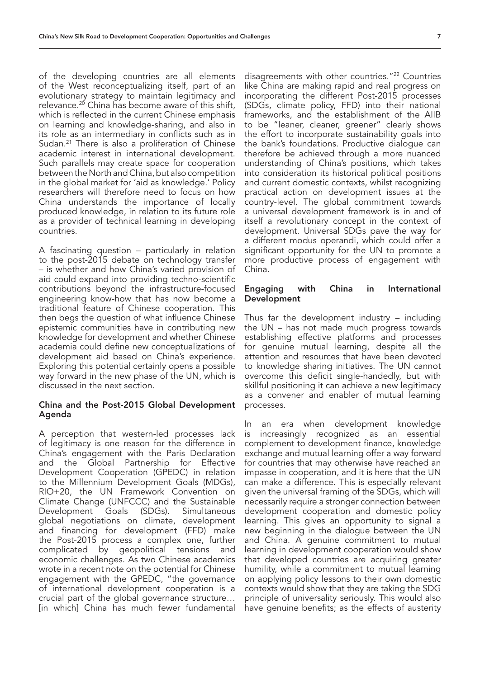of the developing countries are all elements of the West reconceptualizing itself, part of an evolutionary strategy to maintain legitimacy and relevance.<sup>20</sup> China has become aware of this shift, which is reflected in the current Chinese emphasis on learning and knowledge-sharing, and also in its role as an intermediary in conflicts such as in Sudan.<sup>21</sup> There is also a proliferation of Chinese academic interest in international development. Such parallels may create space for cooperation between the North and China, but also competition in the global market for 'aid as knowledge.' Policy researchers will therefore need to focus on how China understands the importance of locally produced knowledge, in relation to its future role as a provider of technical learning in developing countries.

A fascinating question – particularly in relation to the post-2015 debate on technology transfer – is whether and how China's varied provision of aid could expand into providing techno-scientific contributions beyond the infrastructure-focused engineering know-how that has now become a traditional feature of Chinese cooperation. This then begs the question of what influence Chinese epistemic communities have in contributing new knowledge for development and whether Chinese academia could define new conceptualizations of development aid based on China's experience. Exploring this potential certainly opens a possible way forward in the new phase of the UN, which is discussed in the next section.

# China and the Post-2015 Global Development Agenda

A perception that western-led processes lack of legitimacy is one reason for the difference in China's engagement with the Paris Declaration and the Global Partnership for Effective Development Cooperation (GPEDC) in relation to the Millennium Development Goals (MDGs), RIO+20, the UN Framework Convention on Climate Change (UNFCCC) and the Sustainable Development Goals (SDGs). Simultaneous global negotiations on climate, development and financing for development (FFD) make the Post-2015 process a complex one, further complicated by geopolitical tensions and economic challenges. As two Chinese academics wrote in a recent note on the potential for Chinese engagement with the GPEDC, "the governance of international development cooperation is a crucial part of the global governance structure… [in which] China has much fewer fundamental

disagreements with other countries."22 Countries like China are making rapid and real progress on incorporating the different Post-2015 processes (SDGs, climate policy, FFD) into their national frameworks, and the establishment of the AIIB to be "leaner, cleaner, greener" clearly shows the effort to incorporate sustainability goals into the bank's foundations. Productive dialogue can therefore be achieved through a more nuanced understanding of China's positions, which takes into consideration its historical political positions and current domestic contexts, whilst recognizing practical action on development issues at the country-level. The global commitment towards a universal development framework is in and of itself a revolutionary concept in the context of development. Universal SDGs pave the way for a different modus operandi, which could offer a significant opportunity for the UN to promote a more productive process of engagement with China.

### Engaging with China in International **Development**

Thus far the development industry – including the UN – has not made much progress towards establishing effective platforms and processes for genuine mutual learning, despite all the attention and resources that have been devoted to knowledge sharing initiatives. The UN cannot overcome this deficit single-handedly, but with skillful positioning it can achieve a new legitimacy as a convener and enabler of mutual learning processes.

In an era when development knowledge is increasingly recognized as an essential complement to development finance, knowledge exchange and mutual learning offer a way forward for countries that may otherwise have reached an impasse in cooperation, and it is here that the UN can make a difference. This is especially relevant given the universal framing of the SDGs, which will necessarily require a stronger connection between development cooperation and domestic policy learning. This gives an opportunity to signal a new beginning in the dialogue between the UN and China. A genuine commitment to mutual learning in development cooperation would show that developed countries are acquiring greater humility, while a commitment to mutual learning on applying policy lessons to their own domestic contexts would show that they are taking the SDG principle of universality seriously. This would also have genuine benefits; as the effects of austerity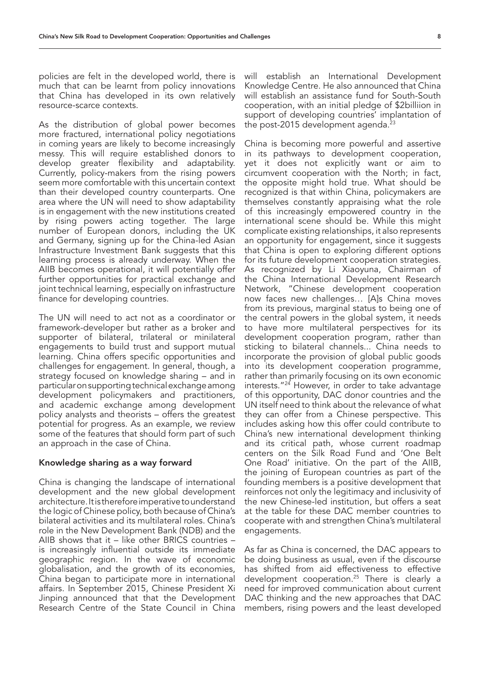As the distribution of global power becomes more fractured, international policy negotiations in coming years are likely to become increasingly messy. This will require established donors to develop greater flexibility and adaptability. Currently, policy-makers from the rising powers seem more comfortable with this uncertain context than their developed country counterparts. One area where the UN will need to show adaptability is in engagement with the new institutions created by rising powers acting together. The large number of European donors, including the UK and Germany, signing up for the China-led Asian Infrastructure Investment Bank suggests that this learning process is already underway. When the AIIB becomes operational, it will potentially offer further opportunities for practical exchange and joint technical learning, especially on infrastructure finance for developing countries.

The UN will need to act not as a coordinator or framework-developer but rather as a broker and supporter of bilateral, trilateral or minilateral engagements to build trust and support mutual learning. China offers specific opportunities and challenges for engagement. In general, though, a strategy focused on knowledge sharing – and in particular on supporting technical exchange among development policymakers and practitioners, and academic exchange among development policy analysts and theorists – offers the greatest potential for progress. As an example, we review some of the features that should form part of such an approach in the case of China.

# Knowledge sharing as a way forward

China is changing the landscape of international development and the new global development architecture. It is therefore imperative to understand the logic of Chinese policy, both because of China's bilateral activities and its multilateral roles. China's role in the New Development Bank (NDB) and the AIIB shows that it – like other BRICS countries – is increasingly influential outside its immediate geographic region. In the wave of economic globalisation, and the growth of its economies, China began to participate more in international affairs. In September 2015, Chinese President Xi Jinping announced that that the Development Research Centre of the State Council in China

will establish an International Development Knowledge Centre. He also announced that China will establish an assistance fund for South-South cooperation, with an initial pledge of \$2billiion in support of developing countries' implantation of the post-2015 development agenda. $23$ 

China is becoming more powerful and assertive in its pathways to development cooperation, yet it does not explicitly want or aim to circumvent cooperation with the North; in fact, the opposite might hold true. What should be recognized is that within China, policymakers are themselves constantly appraising what the role of this increasingly empowered country in the international scene should be. While this might complicate existing relationships, it also represents an opportunity for engagement, since it suggests that China is open to exploring different options for its future development cooperation strategies. As recognized by Li Xiaoyuna, Chairman of the China International Development Research Network, "Chinese development cooperation now faces new challenges… [A]s China moves from its previous, marginal status to being one of the central powers in the global system, it needs to have more multilateral perspectives for its development cooperation program, rather than sticking to bilateral channels... China needs to incorporate the provision of global public goods into its development cooperation programme, rather than primarily focusing on its own economic interests."24 However, in order to take advantage of this opportunity, DAC donor countries and the UN itself need to think about the relevance of what they can offer from a Chinese perspective. This includes asking how this offer could contribute to China's new international development thinking and its critical path, whose current roadmap centers on the Silk Road Fund and 'One Belt One Road' initiative. On the part of the AIIB, the joining of European countries as part of the founding members is a positive development that reinforces not only the legitimacy and inclusivity of the new Chinese-led institution, but offers a seat at the table for these DAC member countries to cooperate with and strengthen China's multilateral engagements.

As far as China is concerned, the DAC appears to be doing business as usual, even if the discourse has shifted from aid effectiveness to effective development cooperation.25 There is clearly a need for improved communication about current DAC thinking and the new approaches that DAC members, rising powers and the least developed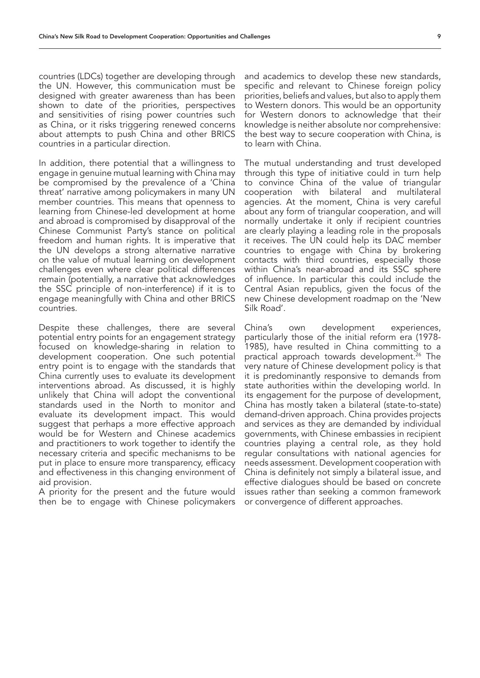countries (LDCs) together are developing through the UN. However, this communication must be designed with greater awareness than has been shown to date of the priorities, perspectives and sensitivities of rising power countries such as China, or it risks triggering renewed concerns about attempts to push China and other BRICS countries in a particular direction.

In addition, there potential that a willingness to engage in genuine mutual learning with China may be compromised by the prevalence of a 'China threat' narrative among policymakers in many UN member countries. This means that openness to learning from Chinese-led development at home and abroad is compromised by disapproval of the Chinese Communist Party's stance on political freedom and human rights. It is imperative that the UN develops a strong alternative narrative on the value of mutual learning on development challenges even where clear political differences remain (potentially, a narrative that acknowledges the SSC principle of non-interference) if it is to engage meaningfully with China and other BRICS countries.

Despite these challenges, there are several potential entry points for an engagement strategy focused on knowledge-sharing in relation to development cooperation. One such potential entry point is to engage with the standards that China currently uses to evaluate its development interventions abroad. As discussed, it is highly unlikely that China will adopt the conventional standards used in the North to monitor and evaluate its development impact. This would suggest that perhaps a more effective approach would be for Western and Chinese academics and practitioners to work together to identify the necessary criteria and specific mechanisms to be put in place to ensure more transparency, efficacy and effectiveness in this changing environment of aid provision.

A priority for the present and the future would then be to engage with Chinese policymakers

and academics to develop these new standards, specific and relevant to Chinese foreign policy priorities, beliefs and values, but also to apply them to Western donors. This would be an opportunity for Western donors to acknowledge that their knowledge is neither absolute nor comprehensive: the best way to secure cooperation with China, is to learn with China.

The mutual understanding and trust developed through this type of initiative could in turn help to convince China of the value of triangular cooperation with bilateral and multilateral agencies. At the moment, China is very careful about any form of triangular cooperation, and will normally undertake it only if recipient countries are clearly playing a leading role in the proposals it receives. The UN could help its DAC member countries to engage with China by brokering contacts with third countries, especially those within China's near-abroad and its SSC sphere of influence. In particular this could include the Central Asian republics, given the focus of the new Chinese development roadmap on the 'New Silk Road'.

China's own development experiences, particularly those of the initial reform era (1978- 1985), have resulted in China committing to a practical approach towards development.<sup>26</sup> The very nature of Chinese development policy is that it is predominantly responsive to demands from state authorities within the developing world. In its engagement for the purpose of development, China has mostly taken a bilateral (state-to-state) demand-driven approach. China provides projects and services as they are demanded by individual governments, with Chinese embassies in recipient countries playing a central role, as they hold regular consultations with national agencies for needs assessment. Development cooperation with China is definitely not simply a bilateral issue, and effective dialogues should be based on concrete issues rather than seeking a common framework or convergence of different approaches.